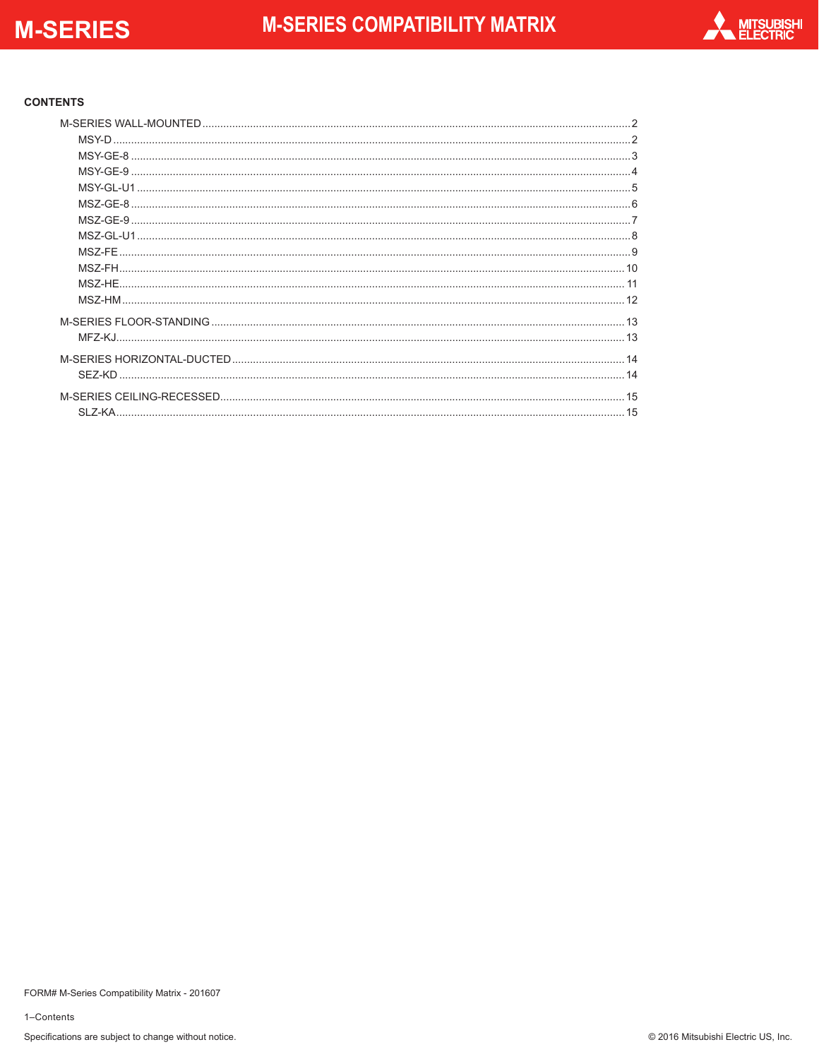

#### **CONTENTS**

| MSZ-FE. |  |
|---------|--|
|         |  |
| MSZ-HE. |  |
|         |  |
|         |  |
|         |  |
|         |  |
|         |  |
|         |  |
|         |  |

1-Contents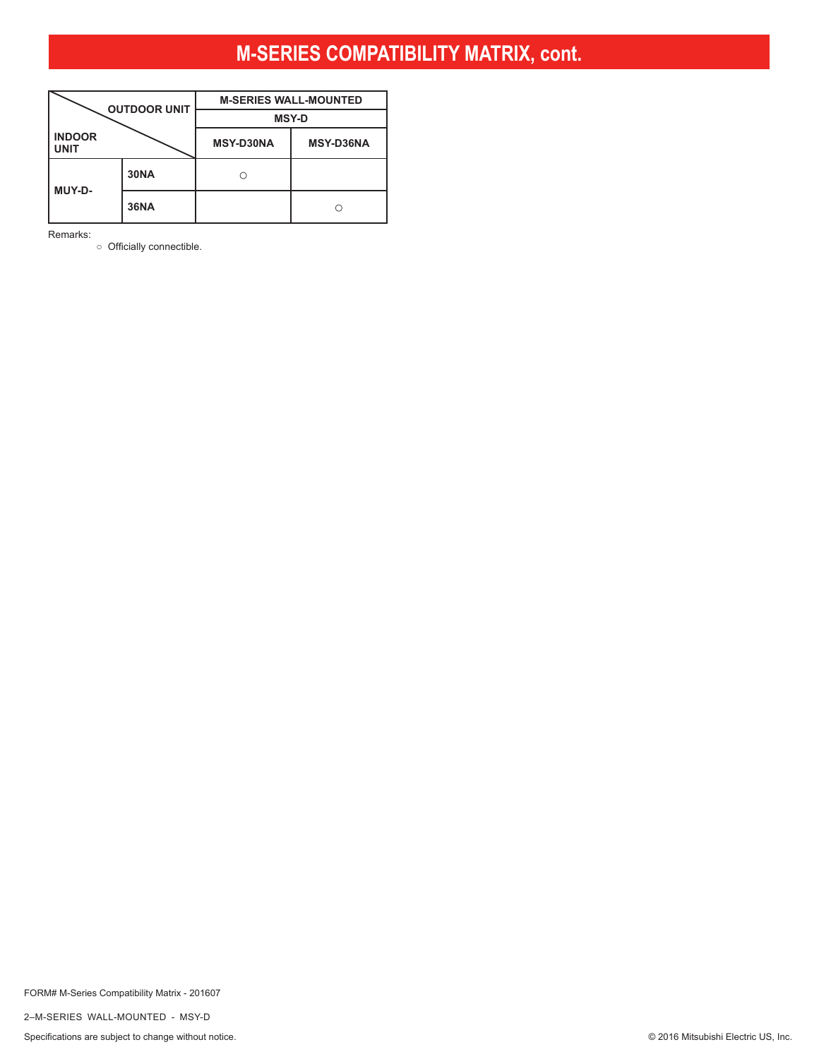<span id="page-1-0"></span>

|                       | <b>OUTDOOR UNIT</b> | <b>M-SERIES WALL-MOUNTED</b> |                  |  |  |  |
|-----------------------|---------------------|------------------------------|------------------|--|--|--|
|                       |                     | <b>MSY-D</b>                 |                  |  |  |  |
| <b>INDOOR</b><br>UNIT |                     | <b>MSY-D30NA</b>             | <b>MSY-D36NA</b> |  |  |  |
| MUY-D-                | <b>30NA</b>         |                              |                  |  |  |  |
|                       | <b>36NA</b>         |                              |                  |  |  |  |

Remarks:

○ Officially connectible.

FORM# M-Series Compatibility Matrix - 201607

2–M-SERIES WALL-MOUNTED - MSY-D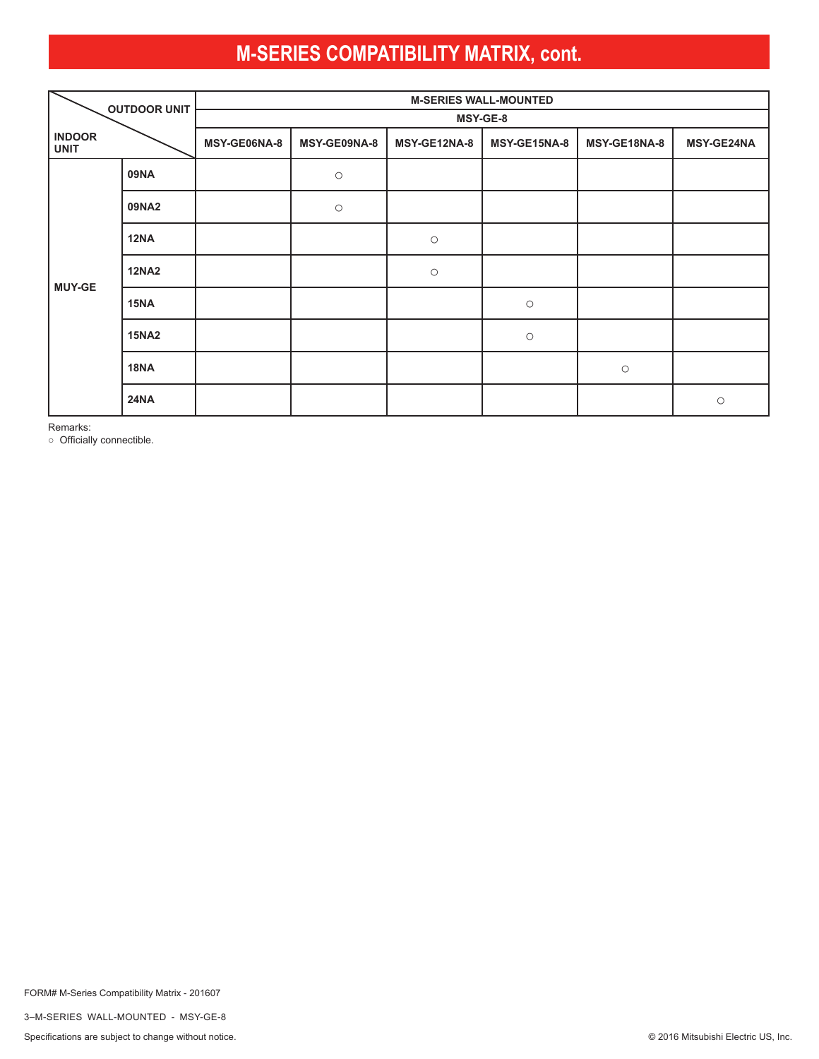<span id="page-2-0"></span>

|                              | <b>OUTDOOR UNIT</b> | <b>M-SERIES WALL-MOUNTED</b> |                     |              |              |              |                   |  |  |
|------------------------------|---------------------|------------------------------|---------------------|--------------|--------------|--------------|-------------------|--|--|
|                              |                     | MSY-GE-8                     |                     |              |              |              |                   |  |  |
| <b>INDOOR</b><br><b>UNIT</b> |                     | MSY-GE06NA-8                 | MSY-GE09NA-8        | MSY-GE12NA-8 | MSY-GE15NA-8 | MSY-GE18NA-8 | <b>MSY-GE24NA</b> |  |  |
|                              | <b>09NA</b>         |                              | $\bigcirc$          |              |              |              |                   |  |  |
|                              | 09NA2               |                              | $\circlearrowright$ |              |              |              |                   |  |  |
|                              | <b>12NA</b>         |                              |                     | $\bigcirc$   |              |              |                   |  |  |
| <b>MUY-GE</b>                | <b>12NA2</b>        |                              |                     | $\bigcirc$   |              |              |                   |  |  |
|                              | 15NA                |                              |                     |              | $\bigcirc$   |              |                   |  |  |
|                              | <b>15NA2</b>        |                              |                     |              | $\bigcirc$   |              |                   |  |  |
|                              | <b>18NA</b>         |                              |                     |              |              | $\bigcirc$   |                   |  |  |
|                              | <b>24NA</b>         |                              |                     |              |              |              | $\bigcirc$        |  |  |

Remarks:

○ Officially connectible.

FORM# M-Series Compatibility Matrix - 201607

3–M-SERIES WALL-MOUNTED - MSY-GE-8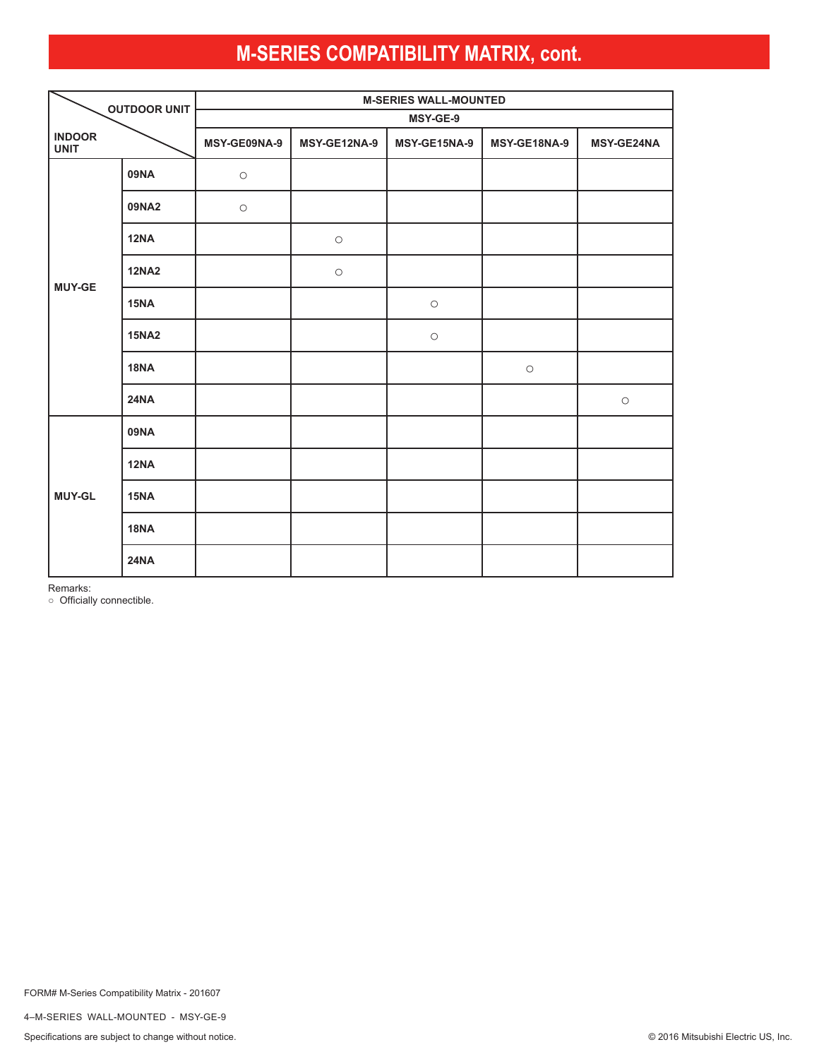<span id="page-3-0"></span>

| <b>OUTDOOR UNIT</b>          |              | <b>M-SERIES WALL-MOUNTED</b> |              |              |                     |            |  |  |  |  |
|------------------------------|--------------|------------------------------|--------------|--------------|---------------------|------------|--|--|--|--|
|                              |              |                              | MSY-GE-9     |              |                     |            |  |  |  |  |
| <b>INDOOR</b><br><b>UNIT</b> |              | MSY-GE09NA-9                 | MSY-GE12NA-9 | MSY-GE15NA-9 | MSY-GE18NA-9        | MSY-GE24NA |  |  |  |  |
|                              | <b>09NA</b>  | $\circ$                      |              |              |                     |            |  |  |  |  |
| <b>MUY-GE</b>                | 09NA2        | $\circlearrowright$          |              |              |                     |            |  |  |  |  |
|                              | <b>12NA</b>  |                              | $\bigcirc$   |              |                     |            |  |  |  |  |
|                              | <b>12NA2</b> |                              | $\bigcirc$   |              |                     |            |  |  |  |  |
|                              | 15NA         |                              |              | $\bigcirc$   |                     |            |  |  |  |  |
|                              | <b>15NA2</b> |                              |              | $\bigcirc$   |                     |            |  |  |  |  |
|                              | <b>18NA</b>  |                              |              |              | $\circlearrowright$ |            |  |  |  |  |
|                              | <b>24NA</b>  |                              |              |              |                     | $\bigcirc$ |  |  |  |  |
|                              | <b>09NA</b>  |                              |              |              |                     |            |  |  |  |  |
|                              | <b>12NA</b>  |                              |              |              |                     |            |  |  |  |  |
| <b>MUY-GL</b>                | 15NA         |                              |              |              |                     |            |  |  |  |  |
|                              | <b>18NA</b>  |                              |              |              |                     |            |  |  |  |  |
|                              | <b>24NA</b>  |                              |              |              |                     |            |  |  |  |  |

Remarks:

○ Officially connectible.

4–M-SERIES WALL-MOUNTED - MSY-GE-9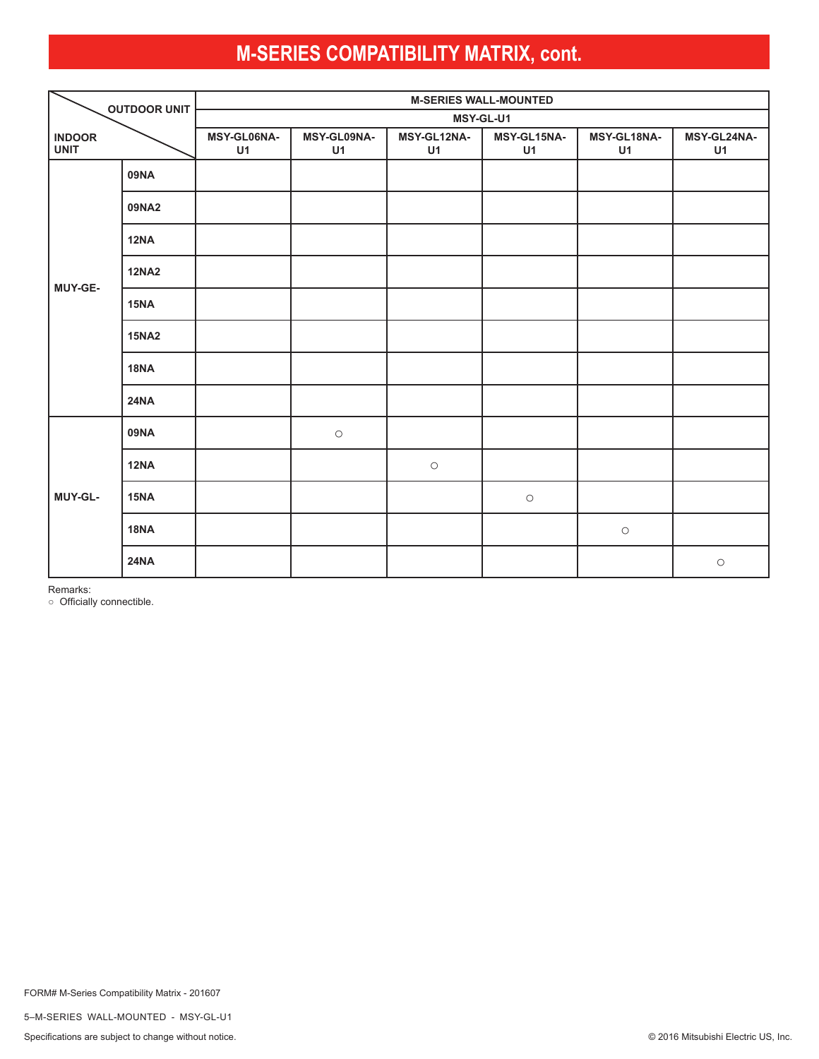<span id="page-4-0"></span>

| <b>OUTDOOR UNIT</b>          |              | <b>M-SERIES WALL-MOUNTED</b> |                   |                   |                   |                   |                   |  |  |
|------------------------------|--------------|------------------------------|-------------------|-------------------|-------------------|-------------------|-------------------|--|--|
|                              |              | MSY-GL-U1                    |                   |                   |                   |                   |                   |  |  |
| <b>INDOOR</b><br><b>UNIT</b> |              | MSY-GL06NA-<br>U1            | MSY-GL09NA-<br>U1 | MSY-GL12NA-<br>U1 | MSY-GL15NA-<br>U1 | MSY-GL18NA-<br>U1 | MSY-GL24NA-<br>U1 |  |  |
|                              | 09NA         |                              |                   |                   |                   |                   |                   |  |  |
|                              | 09NA2        |                              |                   |                   |                   |                   |                   |  |  |
|                              | 12NA         |                              |                   |                   |                   |                   |                   |  |  |
| MUY-GE-                      | <b>12NA2</b> |                              |                   |                   |                   |                   |                   |  |  |
|                              | 15NA         |                              |                   |                   |                   |                   |                   |  |  |
|                              | <b>15NA2</b> |                              |                   |                   |                   |                   |                   |  |  |
|                              | <b>18NA</b>  |                              |                   |                   |                   |                   |                   |  |  |
|                              | <b>24NA</b>  |                              |                   |                   |                   |                   |                   |  |  |
|                              | 09NA         |                              | $\bigcirc$        |                   |                   |                   |                   |  |  |
|                              | <b>12NA</b>  |                              |                   | $\bigcirc$        |                   |                   |                   |  |  |
| MUY-GL-                      | 15NA         |                              |                   |                   | $\bigcirc$        |                   |                   |  |  |
|                              | <b>18NA</b>  |                              |                   |                   |                   | $\bigcirc$        |                   |  |  |
|                              | <b>24NA</b>  |                              |                   |                   |                   |                   | $\bigcirc$        |  |  |

Remarks:

○ Officially connectible.

5–M-SERIES WALL-MOUNTED - MSY-GL-U1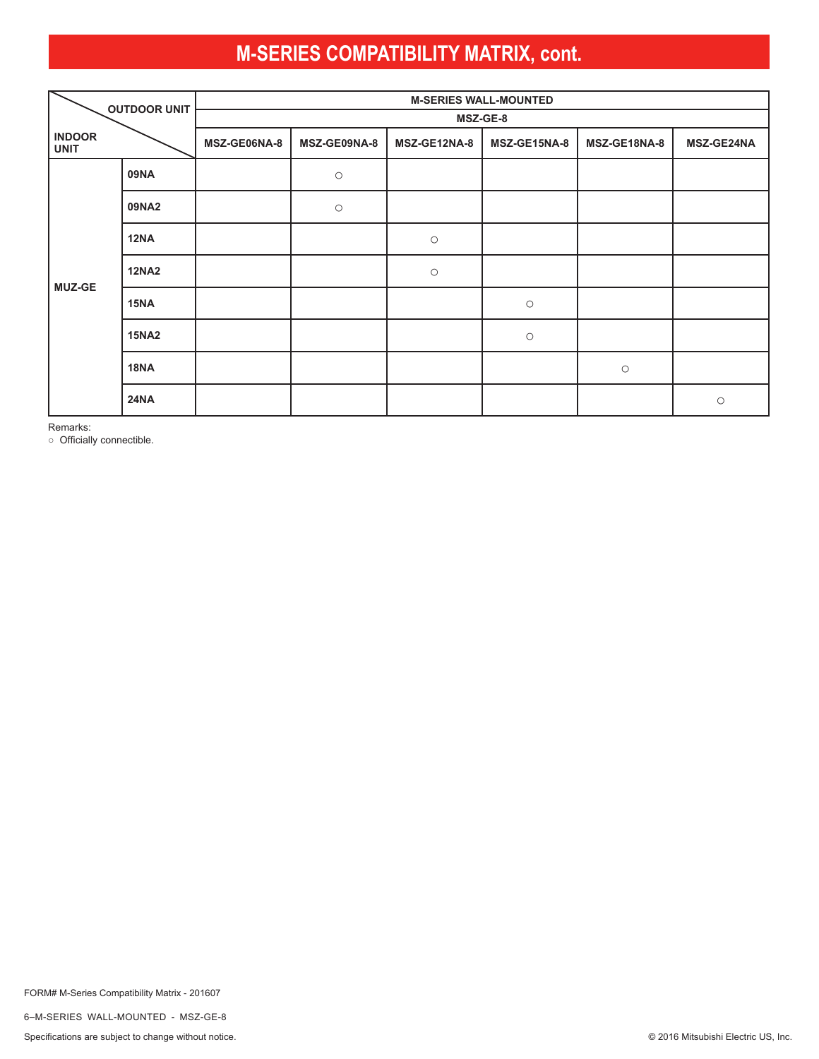<span id="page-5-0"></span>

|                              | <b>OUTDOOR UNIT</b> |              | <b>M-SERIES WALL-MOUNTED</b> |              |              |              |                   |  |  |  |
|------------------------------|---------------------|--------------|------------------------------|--------------|--------------|--------------|-------------------|--|--|--|
|                              |                     | MSZ-GE-8     |                              |              |              |              |                   |  |  |  |
| <b>INDOOR</b><br><b>UNIT</b> |                     | MSZ-GE06NA-8 | MSZ-GE09NA-8                 | MSZ-GE12NA-8 | MSZ-GE15NA-8 | MSZ-GE18NA-8 | <b>MSZ-GE24NA</b> |  |  |  |
|                              | <b>09NA</b>         |              | $\bigcirc$                   |              |              |              |                   |  |  |  |
|                              | 09NA2               |              | $\bigcirc$                   |              |              |              |                   |  |  |  |
|                              | <b>12NA</b>         |              |                              | $\bigcirc$   |              |              |                   |  |  |  |
| <b>MUZ-GE</b>                | <b>12NA2</b>        |              |                              | $\bigcirc$   |              |              |                   |  |  |  |
|                              | <b>15NA</b>         |              |                              |              | $\bigcirc$   |              |                   |  |  |  |
|                              | <b>15NA2</b>        |              |                              |              | $\bigcirc$   |              |                   |  |  |  |
|                              | <b>18NA</b>         |              |                              |              |              | $\bigcirc$   |                   |  |  |  |
|                              | <b>24NA</b>         |              |                              |              |              |              | $\bigcirc$        |  |  |  |

Remarks:

○ Officially connectible.

FORM# M-Series Compatibility Matrix - 201607

6–M-SERIES WALL-MOUNTED - MSZ-GE-8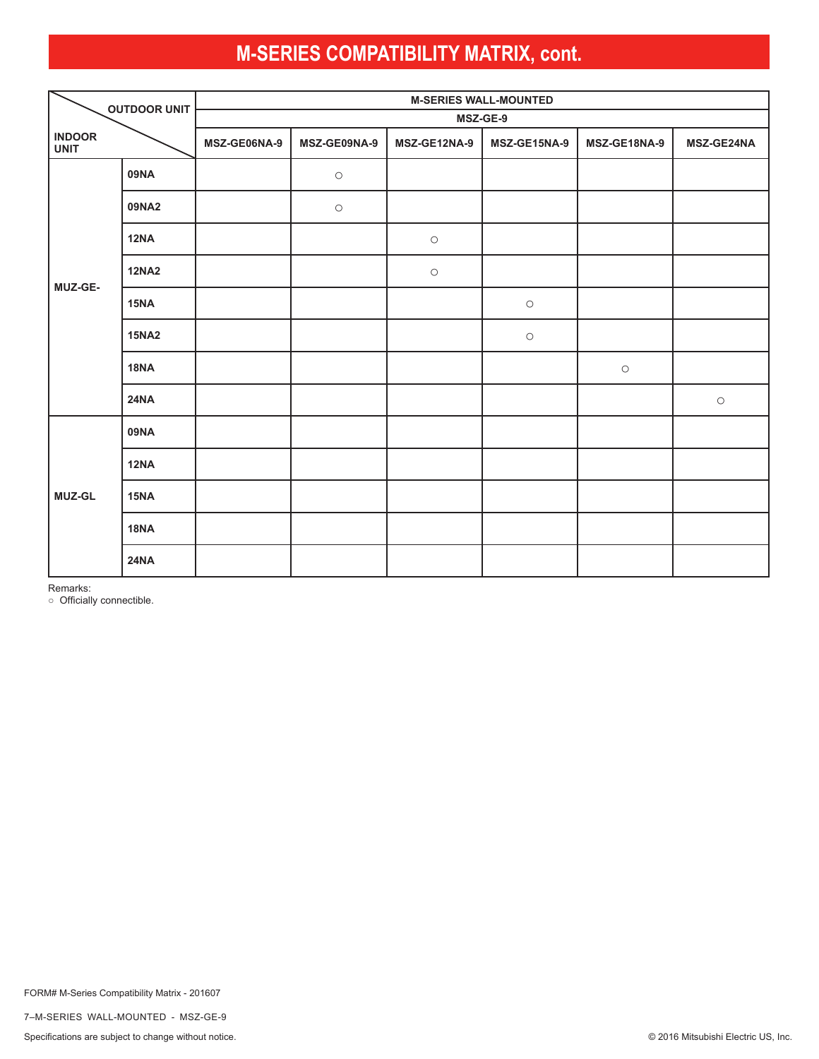<span id="page-6-0"></span>

| <b>OUTDOOR UNIT</b>          |              | <b>M-SERIES WALL-MOUNTED</b> |              |              |              |              |            |  |  |
|------------------------------|--------------|------------------------------|--------------|--------------|--------------|--------------|------------|--|--|
|                              |              | MSZ-GE-9                     |              |              |              |              |            |  |  |
| <b>INDOOR</b><br><b>UNIT</b> |              | MSZ-GE06NA-9                 | MSZ-GE09NA-9 | MSZ-GE12NA-9 | MSZ-GE15NA-9 | MSZ-GE18NA-9 | MSZ-GE24NA |  |  |
|                              | 09NA         |                              | $\bigcirc$   |              |              |              |            |  |  |
|                              | 09NA2        |                              | $\bigcirc$   |              |              |              |            |  |  |
|                              | <b>12NA</b>  |                              |              | $\bigcirc$   |              |              |            |  |  |
| MUZ-GE-                      | <b>12NA2</b> |                              |              | $\bigcirc$   |              |              |            |  |  |
|                              | 15NA         |                              |              |              | $\bigcirc$   |              |            |  |  |
|                              | <b>15NA2</b> |                              |              |              | $\bigcirc$   |              |            |  |  |
|                              | <b>18NA</b>  |                              |              |              |              | $\bigcirc$   |            |  |  |
|                              | <b>24NA</b>  |                              |              |              |              |              | $\bigcirc$ |  |  |
|                              | <b>09NA</b>  |                              |              |              |              |              |            |  |  |
|                              | <b>12NA</b>  |                              |              |              |              |              |            |  |  |
| <b>MUZ-GL</b>                | 15NA         |                              |              |              |              |              |            |  |  |
|                              | <b>18NA</b>  |                              |              |              |              |              |            |  |  |
|                              | <b>24NA</b>  |                              |              |              |              |              |            |  |  |

Remarks:

○ Officially connectible.

7–M-SERIES WALL-MOUNTED - MSZ-GE-9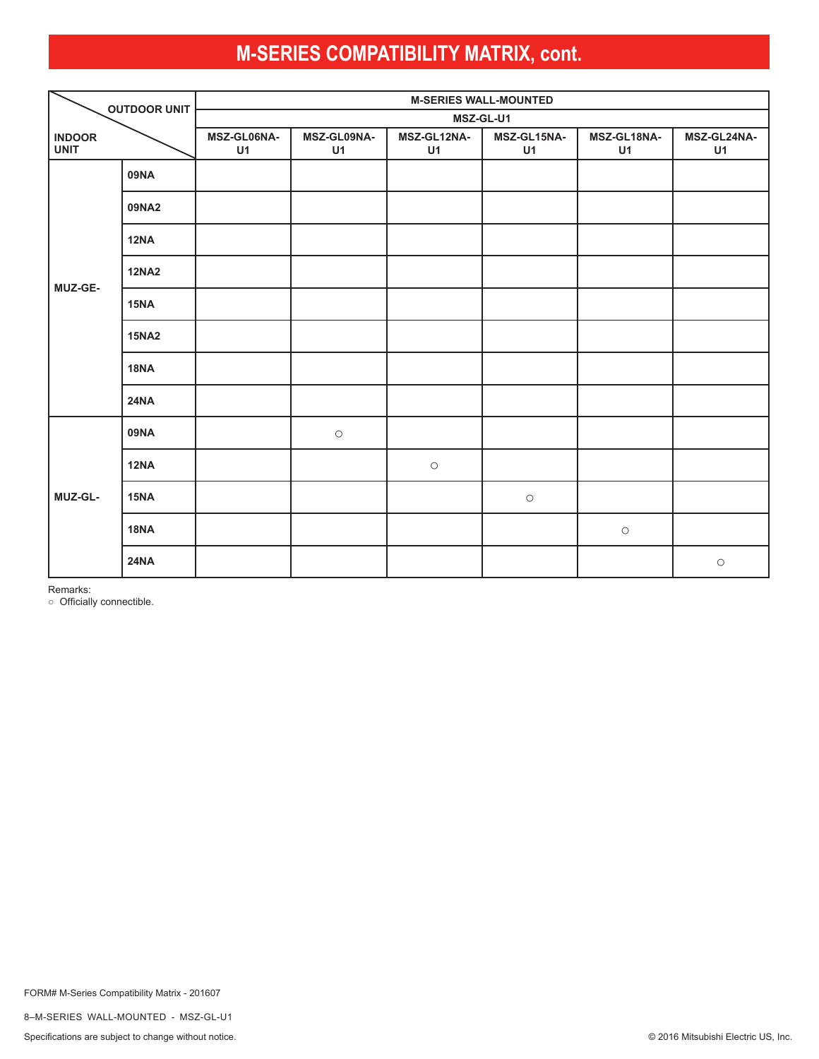<span id="page-7-0"></span>

| <b>OUTDOOR UNIT</b>          |              | <b>M-SERIES WALL-MOUNTED</b> |                   |                   |                     |                     |                   |  |  |
|------------------------------|--------------|------------------------------|-------------------|-------------------|---------------------|---------------------|-------------------|--|--|
|                              |              | MSZ-GL-U1                    |                   |                   |                     |                     |                   |  |  |
| <b>INDOOR</b><br><b>UNIT</b> |              | MSZ-GL06NA-<br>U1            | MSZ-GL09NA-<br>U1 | MSZ-GL12NA-<br>U1 | MSZ-GL15NA-<br>U1   | MSZ-GL18NA-<br>U1   | MSZ-GL24NA-<br>U1 |  |  |
|                              | 09NA         |                              |                   |                   |                     |                     |                   |  |  |
|                              | 09NA2        |                              |                   |                   |                     |                     |                   |  |  |
|                              | 12NA         |                              |                   |                   |                     |                     |                   |  |  |
| MUZ-GE-                      | <b>12NA2</b> |                              |                   |                   |                     |                     |                   |  |  |
|                              | 15NA         |                              |                   |                   |                     |                     |                   |  |  |
|                              | <b>15NA2</b> |                              |                   |                   |                     |                     |                   |  |  |
|                              | <b>18NA</b>  |                              |                   |                   |                     |                     |                   |  |  |
|                              | <b>24NA</b>  |                              |                   |                   |                     |                     |                   |  |  |
|                              | <b>09NA</b>  |                              | $\bigcirc$        |                   |                     |                     |                   |  |  |
|                              | <b>12NA</b>  |                              |                   | $\bigcirc$        |                     |                     |                   |  |  |
| MUZ-GL-                      | 15NA         |                              |                   |                   | $\circlearrowright$ |                     |                   |  |  |
|                              | <b>18NA</b>  |                              |                   |                   |                     | $\circlearrowright$ |                   |  |  |
|                              | <b>24NA</b>  |                              |                   |                   |                     |                     | $\bigcirc$        |  |  |

Remarks:

○ Officially connectible.

8–M-SERIES WALL-MOUNTED - MSZ-GL-U1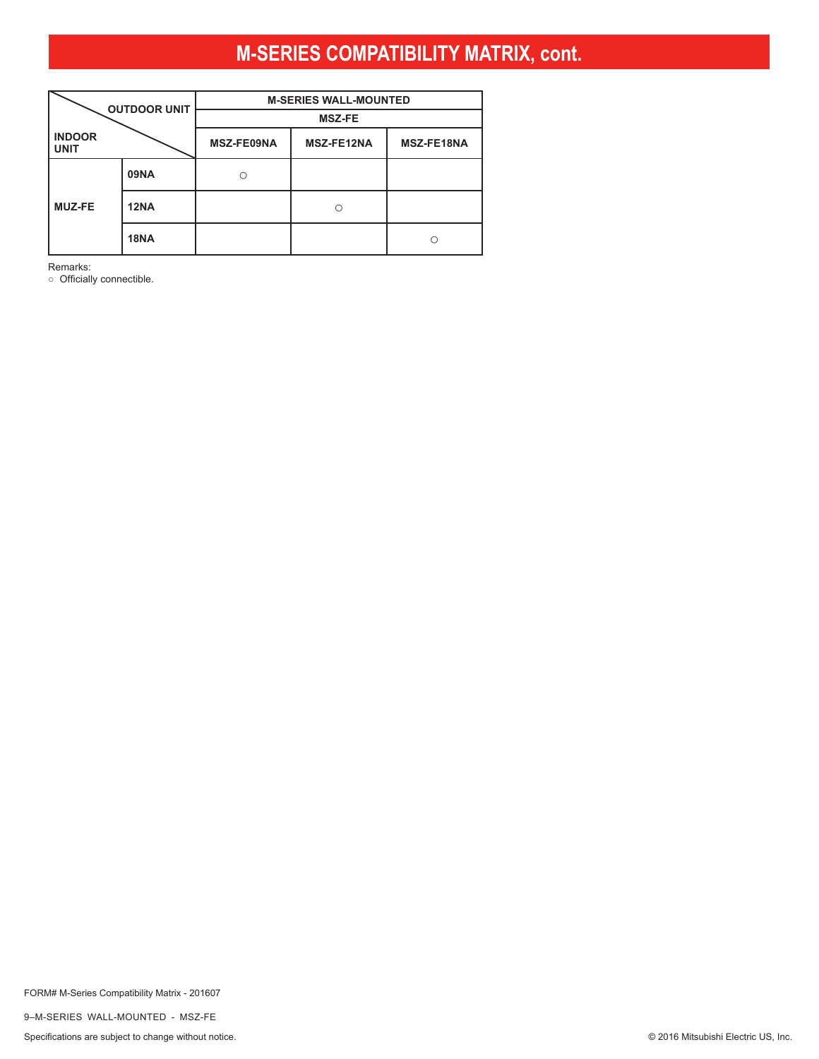<span id="page-8-0"></span>

|                              | <b>OUTDOOR UNIT</b> | <b>M-SERIES WALL-MOUNTED</b> |                   |                   |  |  |
|------------------------------|---------------------|------------------------------|-------------------|-------------------|--|--|
|                              |                     | <b>MSZ-FE</b>                |                   |                   |  |  |
| <b>INDOOR</b><br><b>UNIT</b> |                     | <b>MSZ-FE09NA</b>            | <b>MSZ-FE12NA</b> | <b>MSZ-FE18NA</b> |  |  |
|                              | <b>09NA</b>         |                              |                   |                   |  |  |
| <b>MUZ-FE</b>                | <b>12NA</b>         |                              |                   |                   |  |  |
|                              | <b>18NA</b>         |                              |                   | $\subset$         |  |  |

Remarks:

○ Officially connectible.

FORM# M-Series Compatibility Matrix - 201607

9–M-SERIES WALL-MOUNTED - MSZ-FE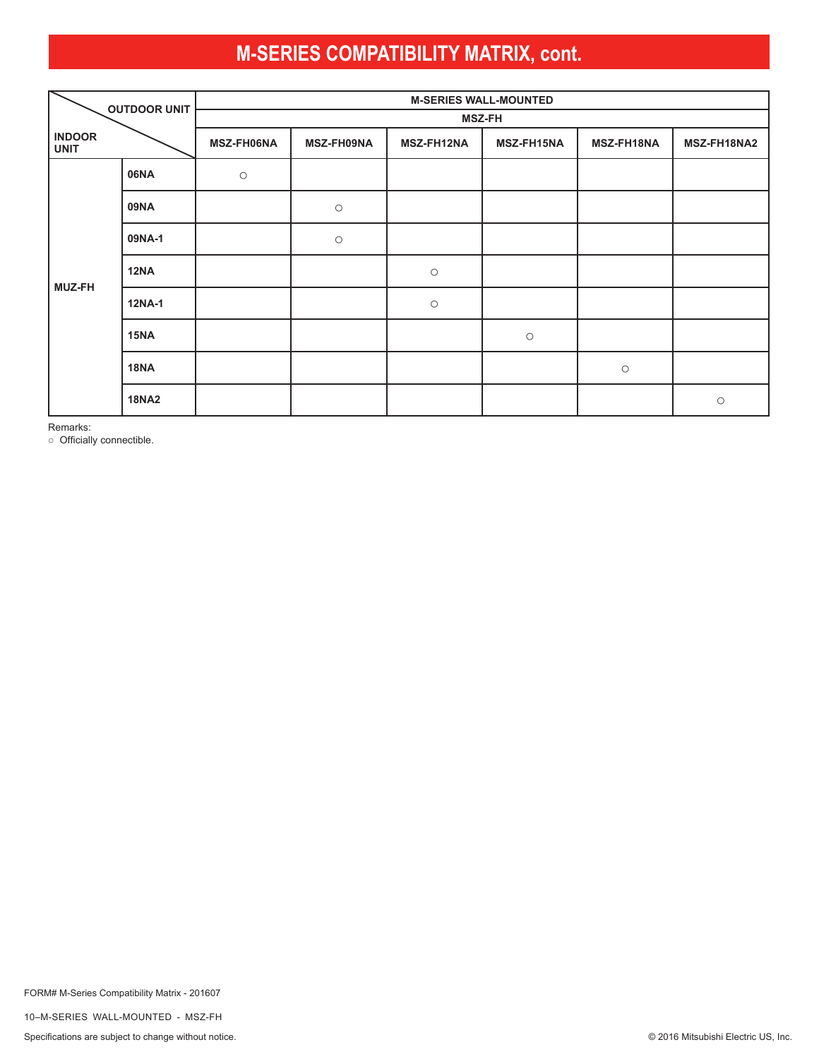<span id="page-9-0"></span>

|                              | <b>OUTDOOR UNIT</b> | <b>M-SERIES WALL-MOUNTED</b> |            |                     |                   |            |             |  |  |
|------------------------------|---------------------|------------------------------|------------|---------------------|-------------------|------------|-------------|--|--|
|                              |                     | <b>MSZ-FH</b>                |            |                     |                   |            |             |  |  |
| <b>INDOOR</b><br><b>UNIT</b> |                     | <b>MSZ-FH06NA</b>            | MSZ-FH09NA | <b>MSZ-FH12NA</b>   | <b>MSZ-FH15NA</b> | MSZ-FH18NA | MSZ-FH18NA2 |  |  |
|                              | 06NA                | $\bigcirc$                   |            |                     |                   |            |             |  |  |
|                              | <b>09NA</b>         |                              | $\bigcirc$ |                     |                   |            |             |  |  |
|                              | 09NA-1              |                              | $\bigcirc$ |                     |                   |            |             |  |  |
| <b>MUZ-FH</b>                | <b>12NA</b>         |                              |            | $\bigcirc$          |                   |            |             |  |  |
|                              | <b>12NA-1</b>       |                              |            | $\circlearrowright$ |                   |            |             |  |  |
|                              | 15NA                |                              |            |                     | $\bigcirc$        |            |             |  |  |
|                              | <b>18NA</b>         |                              |            |                     |                   | $\bigcirc$ |             |  |  |
|                              | <b>18NA2</b>        |                              |            |                     |                   |            | $\bigcirc$  |  |  |

Remarks:

○ Officially connectible.

FORM# M-Series Compatibility Matrix - 201607

10–M-SERIES WALL-MOUNTED - MSZ-FH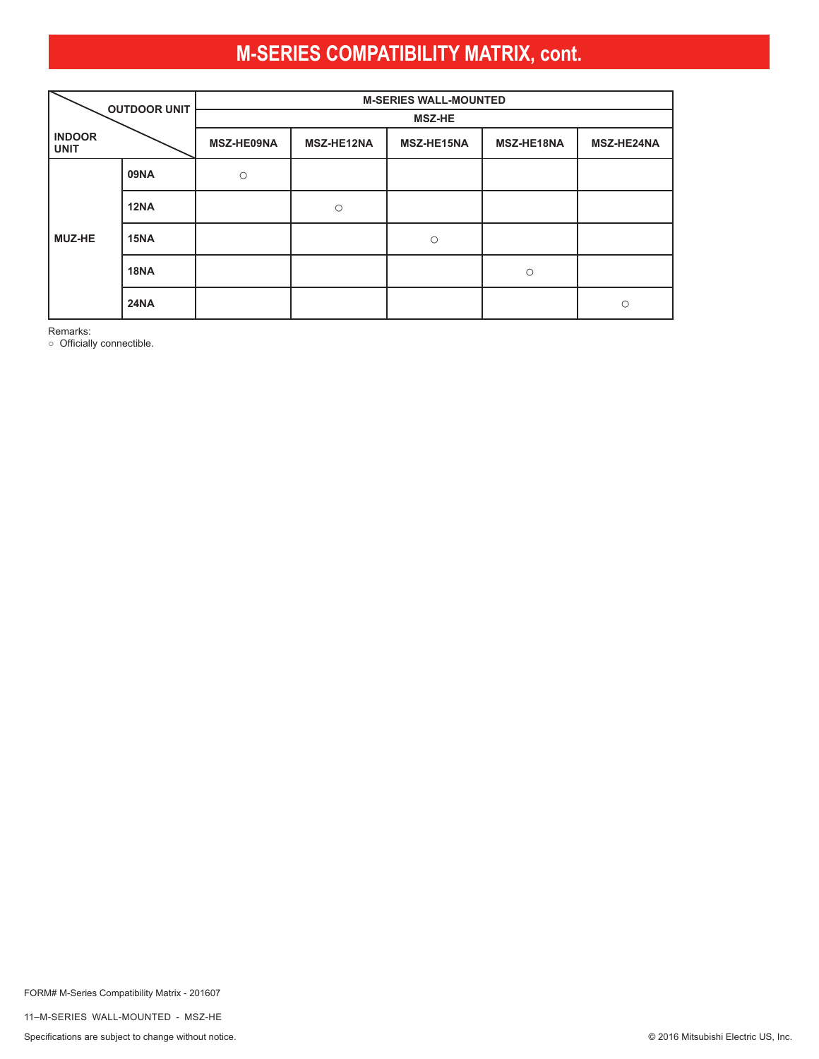<span id="page-10-0"></span>

| <b>OUTDOOR UNIT</b>          |             |               | <b>M-SERIES WALL-MOUNTED</b> |            |            |            |  |  |  |  |
|------------------------------|-------------|---------------|------------------------------|------------|------------|------------|--|--|--|--|
|                              |             | <b>MSZ-HE</b> |                              |            |            |            |  |  |  |  |
| <b>INDOOR</b><br><b>UNIT</b> |             | MSZ-HE09NA    | MSZ-HE12NA                   | MSZ-HE15NA | MSZ-HE18NA | MSZ-HE24NA |  |  |  |  |
|                              | <b>09NA</b> | $\circ$       |                              |            |            |            |  |  |  |  |
|                              | <b>12NA</b> |               | $\circ$                      |            |            |            |  |  |  |  |
| <b>MUZ-HE</b>                | 15NA        |               |                              | $\circ$    |            |            |  |  |  |  |
|                              | <b>18NA</b> |               |                              |            | $\circ$    |            |  |  |  |  |
|                              | <b>24NA</b> |               |                              |            |            | $\bigcirc$ |  |  |  |  |

Remarks:

○ Officially connectible.

FORM# M-Series Compatibility Matrix - 201607

11–M-SERIES WALL-MOUNTED - MSZ-HE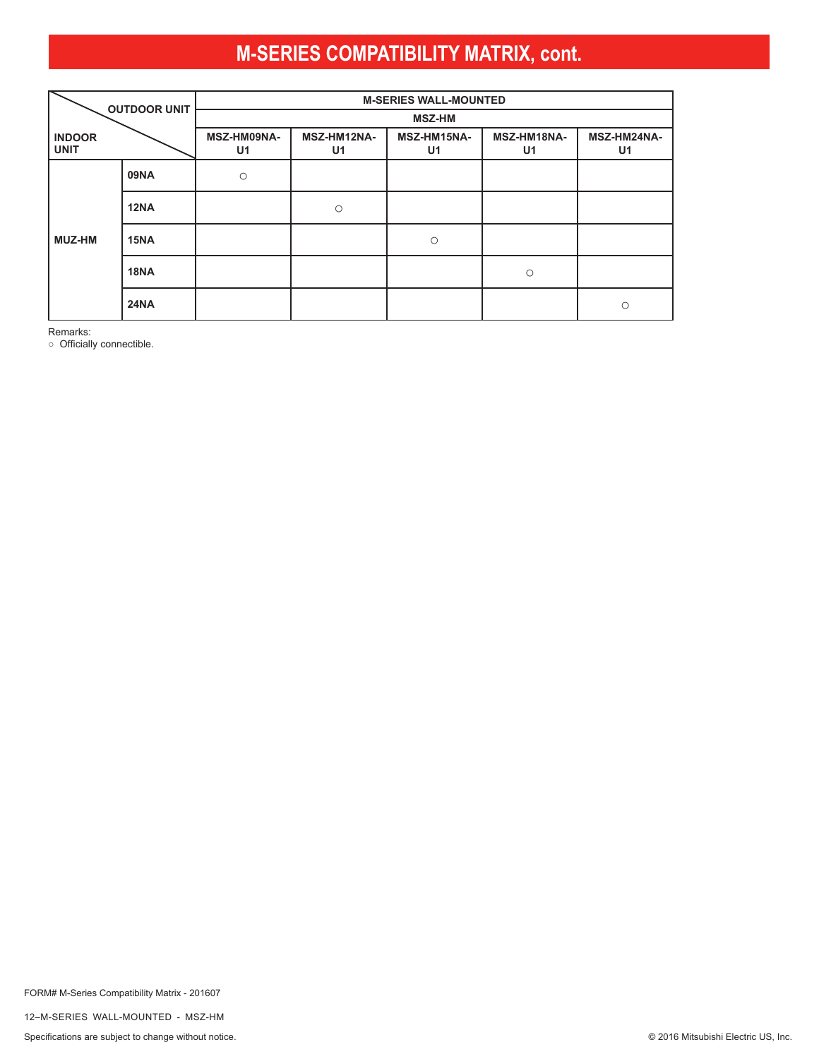<span id="page-11-0"></span>

| <b>OUTDOOR UNIT</b>          |             |                   | <b>M-SERIES WALL-MOUNTED</b>  |                               |                   |                   |  |  |  |  |
|------------------------------|-------------|-------------------|-------------------------------|-------------------------------|-------------------|-------------------|--|--|--|--|
|                              |             | <b>MSZ-HM</b>     |                               |                               |                   |                   |  |  |  |  |
| <b>INDOOR</b><br><b>UNIT</b> |             | MSZ-HM09NA-<br>U1 | MSZ-HM12NA-<br>U <sub>1</sub> | MSZ-HM15NA-<br>U <sub>1</sub> | MSZ-HM18NA-<br>U1 | MSZ-HM24NA-<br>U1 |  |  |  |  |
|                              | <b>09NA</b> | $\circ$           |                               |                               |                   |                   |  |  |  |  |
|                              | <b>12NA</b> |                   | $\circ$                       |                               |                   |                   |  |  |  |  |
| MUZ-HM                       | 15NA        |                   |                               | $\circ$                       |                   |                   |  |  |  |  |
|                              | <b>18NA</b> |                   |                               |                               | $\circ$           |                   |  |  |  |  |
|                              | <b>24NA</b> |                   |                               |                               |                   | $\bigcap$         |  |  |  |  |

Remarks:

○ Officially connectible.

FORM# M-Series Compatibility Matrix - 201607

12–M-SERIES WALL-MOUNTED - MSZ-HM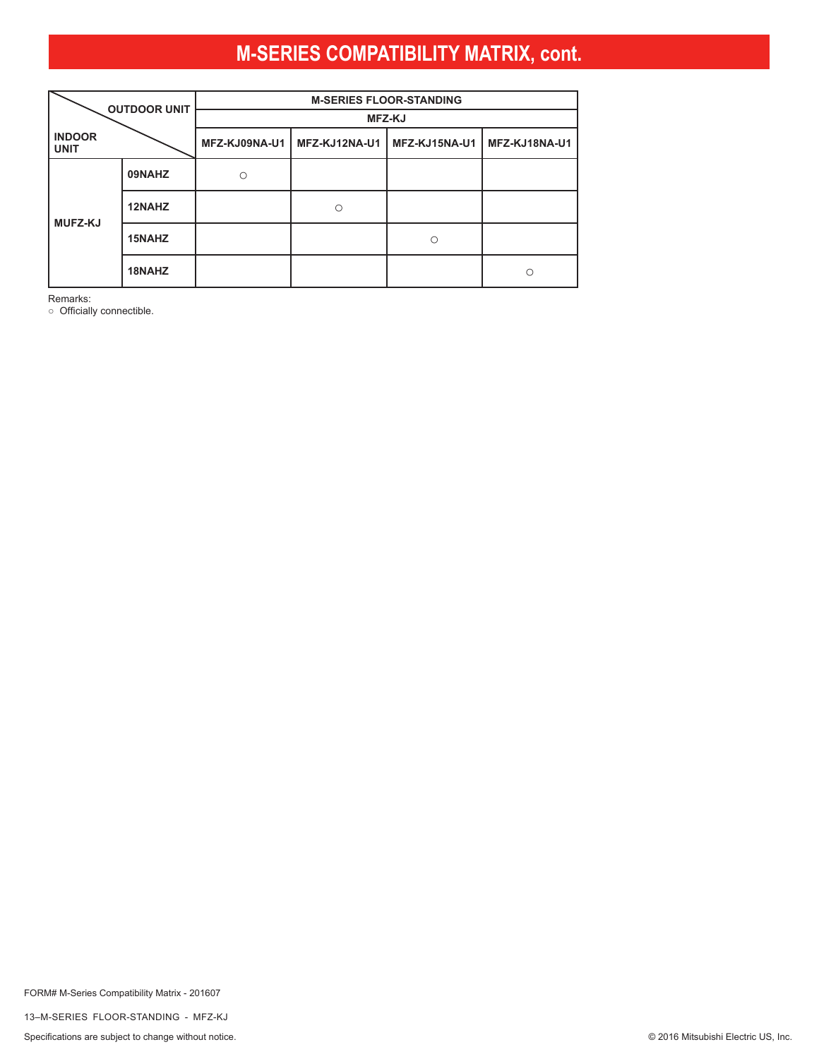<span id="page-12-0"></span>

| <b>OUTDOOR UNIT</b>          |        | <b>M-SERIES FLOOR-STANDING</b> |               |               |               |  |
|------------------------------|--------|--------------------------------|---------------|---------------|---------------|--|
|                              |        | <b>MFZ-KJ</b>                  |               |               |               |  |
| <b>INDOOR</b><br><b>UNIT</b> |        | MFZ-KJ09NA-U1                  | MFZ-KJ12NA-U1 | MFZ-KJ15NA-U1 | MFZ-KJ18NA-U1 |  |
| <b>MUFZ-KJ</b>               | 09NAHZ | ∩                              |               |               |               |  |
|                              | 12NAHZ |                                |               |               |               |  |
|                              | 15NAHZ |                                |               | Ω             |               |  |
|                              | 18NAHZ |                                |               |               | С             |  |

Remarks:

○ Officially connectible.

FORM# M-Series Compatibility Matrix - 201607

13–M-SERIES FLOOR-STANDING - MFZ-KJ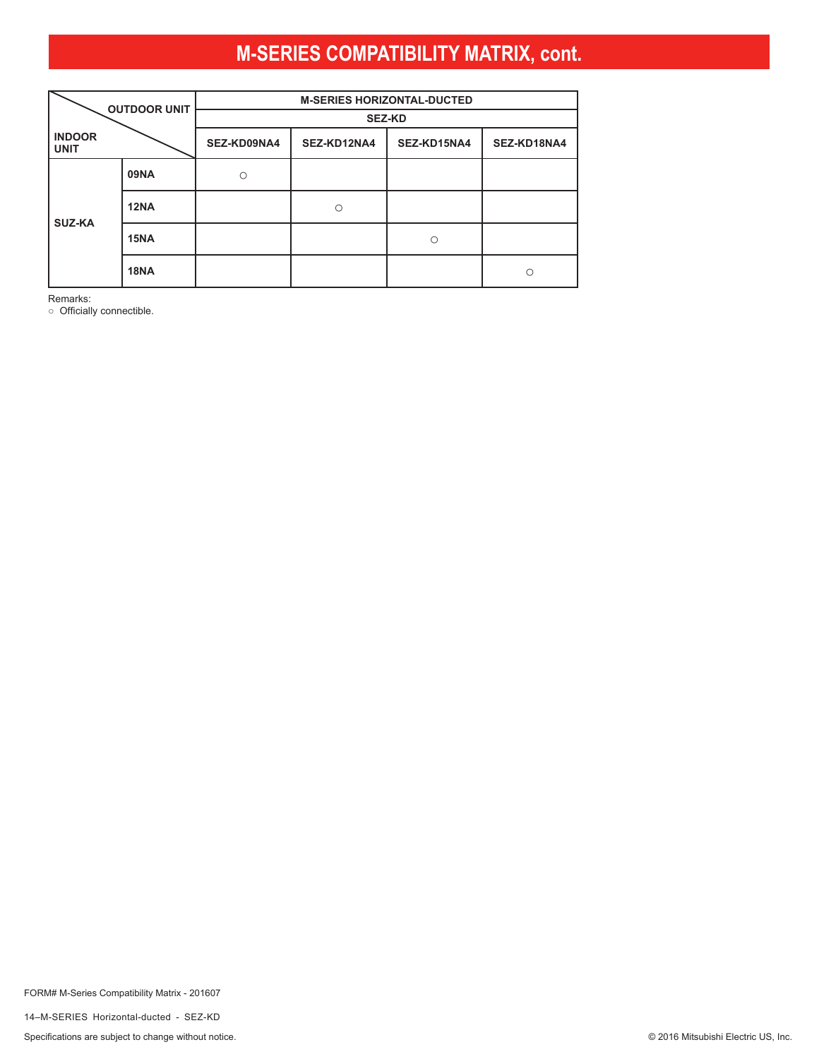<span id="page-13-0"></span>

| <b>OUTDOOR UNIT</b>          |             | <b>M-SERIES HORIZONTAL-DUCTED</b> |             |             |             |  |
|------------------------------|-------------|-----------------------------------|-------------|-------------|-------------|--|
|                              |             | <b>SEZ-KD</b>                     |             |             |             |  |
| <b>INDOOR</b><br><b>UNIT</b> |             | SEZ-KD09NA4                       | SEZ-KD12NA4 | SEZ-KD15NA4 | SEZ-KD18NA4 |  |
| <b>SUZ-KA</b>                | <b>09NA</b> |                                   |             |             |             |  |
|                              | <b>12NA</b> |                                   |             |             |             |  |
|                              | 15NA        |                                   |             | $\circ$     |             |  |
|                              | <b>18NA</b> |                                   |             |             | O           |  |

Remarks:

○ Officially connectible.

FORM# M-Series Compatibility Matrix - 201607

14–M-SERIES Horizontal-ducted - SEZ-KD